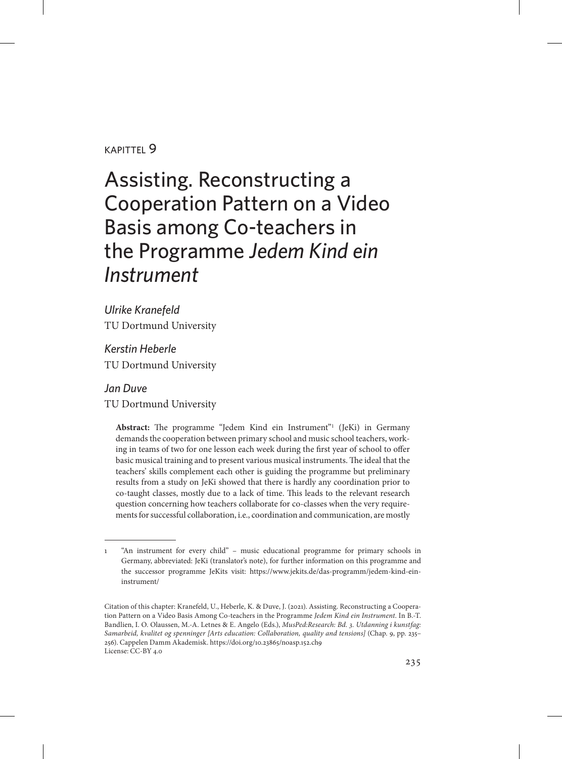#### kapittel 9

# Assisting. Reconstructing a Cooperation Pattern on a Video Basis among Co-teachers in the Programme *Jedem Kind ein Instrument*

*Ulrike Kranefeld*  TU Dortmund University

*Kerstin Heberle*  TU Dortmund University

*Jan Duve* TU Dortmund University

> Abstract: The programme "Jedem Kind ein Instrument"<sup>1</sup> (JeKi) in Germany demands the cooperation between primary school and music school teachers, working in teams of two for one lesson each week during the first year of school to offer basic musical training and to present various musical instruments. The ideal that the teachers' skills complement each other is guiding the programme but preliminary results from a study on JeKi showed that there is hardly any coordination prior to co-taught classes, mostly due to a lack of time. This leads to the relevant research question concerning how teachers collaborate for co-classes when the very requirements for successful collaboration, i.e., coordination and communication, are mostly

<sup>1</sup> "An instrument for every child" – music educational programme for primary schools in Germany, abbreviated: JeKi (translator's note), for further information on this programme and the successor programme JeKits visit: [https://www.jekits.de/das-programm/jedem-kind-ein](https://www.jekits.de/das-programm/jedem-kind-eininstrument/)[instrument/](https://www.jekits.de/das-programm/jedem-kind-eininstrument/)

Citation of this chapter: Kranefeld, U., Heberle, K. & Duve, J. (2021). Assisting. Reconstructing a Cooperation Pattern on a Video Basis Among Co-teachers in the Programme *Jedem Kind ein Instrument*. In B.-T. Bandlien, I. O. Olaussen, M.-A. Letnes & E. Angelo (Eds.), *MusPed:Research: Bd. 3. Utdanning i kunstfag: Samarbeid, kvalitet og spenninger [Arts education: Collaboration, quality and tensions]* (Chap. 9, pp. 235– 256). Cappelen Damm Akademisk. https://doi.org/10.23865/noasp.152.ch9 License: CC-BY 4.0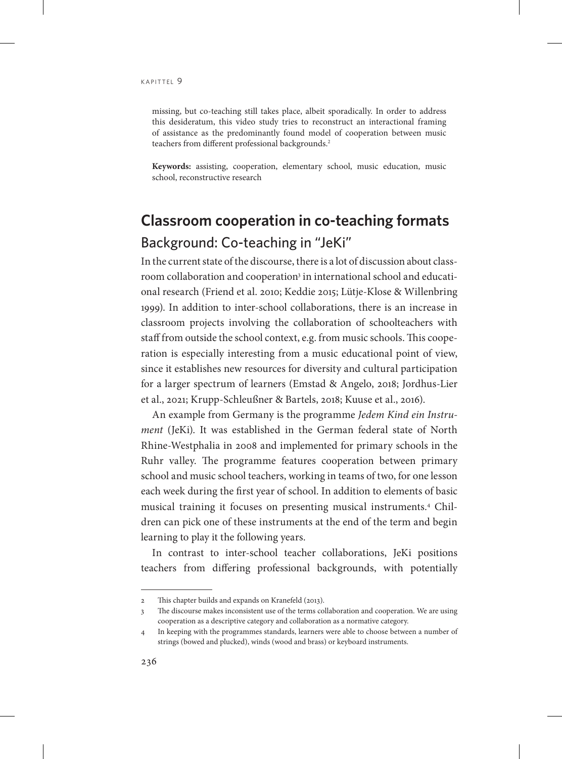missing, but co-teaching still takes place, albeit sporadically. In order to address this desideratum, this video study tries to reconstruct an interactional framing of assistance as the predominantly found model of cooperation between music teachers from different professional backgrounds.<sup>2</sup>

**Keywords:** assisting, cooperation, elementary school, music education, music school, reconstructive research

## **Classroom cooperation in co-teaching formats** Background: Co-teaching in "JeKi"

In the current state of the discourse, there is a lot of discussion about classroom collaboration and cooperation<sup>3</sup> in international school and educational research (Friend et al. 2010; Keddie 2015; Lütje-Klose & Willenbring 1999). In addition to inter-school collaborations, there is an increase in classroom projects involving the collaboration of schoolteachers with staff from outside the school context, e.g. from music schools. This cooperation is especially interesting from a music educational point of view, since it establishes new resources for diversity and cultural participation for a larger spectrum of learners (Emstad & Angelo, 2018; Jordhus-Lier et al., 2021; Krupp-Schleußner & Bartels, 2018; Kuuse et al., 2016).

An example from Germany is the programme *Jedem Kind ein Instrument* (JeKi). It was established in the German federal state of North Rhine-Westphalia in 2008 and implemented for primary schools in the Ruhr valley. The programme features cooperation between primary school and music school teachers, working in teams of two, for one lesson each week during the first year of school. In addition to elements of basic musical training it focuses on presenting musical instruments.4 Children can pick one of these instruments at the end of the term and begin learning to play it the following years.

In contrast to inter-school teacher collaborations, JeKi positions teachers from differing professional backgrounds, with potentially

<sup>2</sup> This chapter builds and expands on Kranefeld (2013).

<sup>3</sup> The discourse makes inconsistent use of the terms collaboration and cooperation. We are using cooperation as a descriptive category and collaboration as a normative category.

<sup>4</sup> In keeping with the programmes standards, learners were able to choose between a number of strings (bowed and plucked), winds (wood and brass) or keyboard instruments.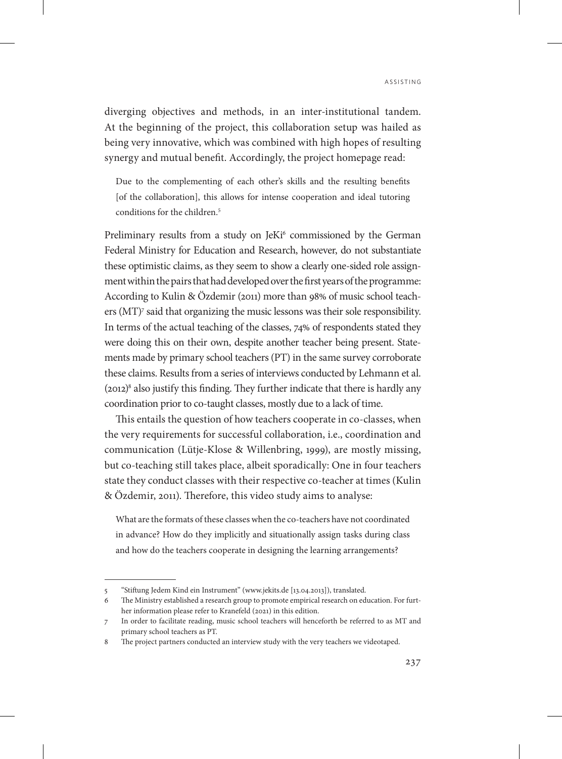diverging objectives and methods, in an inter-institutional tandem. At the beginning of the project, this collaboration setup was hailed as being very innovative, which was combined with high hopes of resulting synergy and mutual benefit. Accordingly, the project homepage read:

Due to the complementing of each other's skills and the resulting benefits [of the collaboration], this allows for intense cooperation and ideal tutoring conditions for the children.<sup>5</sup>

Preliminary results from a study on JeKi<sup>6</sup> commissioned by the German Federal Ministry for Education and Research, however, do not substantiate these optimistic claims, as they seem to show a clearly one-sided role assignment within the pairs that had developed over the first years of the programme: According to Kulin & Özdemir (2011) more than 98% of music school teachers (MT)<sup>7</sup> said that organizing the music lessons was their sole responsibility. In terms of the actual teaching of the classes, 74% of respondents stated they were doing this on their own, despite another teacher being present. Statements made by primary school teachers (PT) in the same survey corroborate these claims. Results from a series of interviews conducted by Lehmann et al.  $(2012)^8$  also justify this finding. They further indicate that there is hardly any coordination prior to co-taught classes, mostly due to a lack of time.

This entails the question of how teachers cooperate in co-classes, when the very requirements for successful collaboration, i.e., coordination and communication (Lütje-Klose & Willenbring, 1999), are mostly missing, but co-teaching still takes place, albeit sporadically: One in four teachers state they conduct classes with their respective co-teacher at times (Kulin & Özdemir, 2011). Therefore, this video study aims to analyse:

What are the formats of these classes when the co-teachers have not coordinated in advance? How do they implicitly and situationally assign tasks during class and how do the teachers cooperate in designing the learning arrangements?

<sup>5</sup> "Stiftung Jedem Kind ein Instrument" (www.jekits.de [13.04.2013]), translated.

<sup>6</sup> The Ministry established a research group to promote empirical research on education. For further information please refer to Kranefeld (2021) in this edition.

<sup>7</sup> In order to facilitate reading, music school teachers will henceforth be referred to as MT and primary school teachers as PT.

<sup>8</sup> The project partners conducted an interview study with the very teachers we videotaped.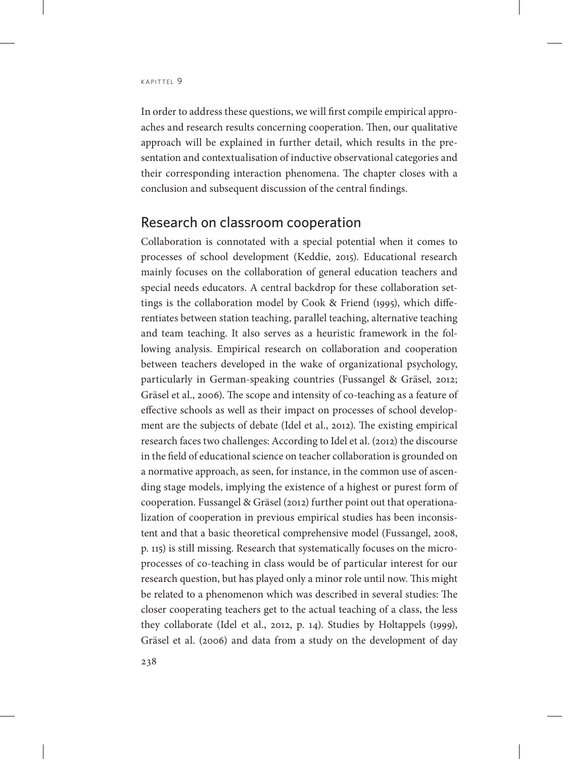In order to address these questions, we will first compile empirical approaches and research results concerning cooperation. Then, our qualitative approach will be explained in further detail, which results in the presentation and contextualisation of inductive observational categories and their corresponding interaction phenomena. The chapter closes with a conclusion and subsequent discussion of the central findings.

#### Research on classroom cooperation

Collaboration is connotated with a special potential when it comes to processes of school development (Keddie, 2015). Educational research mainly focuses on the collaboration of general education teachers and special needs educators. A central backdrop for these collaboration settings is the collaboration model by Cook & Friend (1995), which differentiates between station teaching, parallel teaching, alternative teaching and team teaching. It also serves as a heuristic framework in the following analysis. Empirical research on collaboration and cooperation between teachers developed in the wake of organizational psychology, particularly in German-speaking countries (Fussangel & Gräsel, 2012; Gräsel et al., 2006). The scope and intensity of co-teaching as a feature of effective schools as well as their impact on processes of school development are the subjects of debate (Idel et al., 2012). The existing empirical research faces two challenges: According to Idel et al. (2012) the discourse in the field of educational science on teacher collaboration is grounded on a normative approach, as seen, for instance, in the common use of ascending stage models, implying the existence of a highest or purest form of cooperation. Fussangel & Gräsel (2012) further point out that operationalization of cooperation in previous empirical studies has been inconsistent and that a basic theoretical comprehensive model (Fussangel, 2008, p. 115) is still missing. Research that systematically focuses on the microprocesses of co-teaching in class would be of particular interest for our research question, but has played only a minor role until now. This might be related to a phenomenon which was described in several studies: The closer cooperating teachers get to the actual teaching of a class, the less they collaborate (Idel et al., 2012, p. 14). Studies by Holtappels (1999), Gräsel et al. (2006) and data from a study on the development of day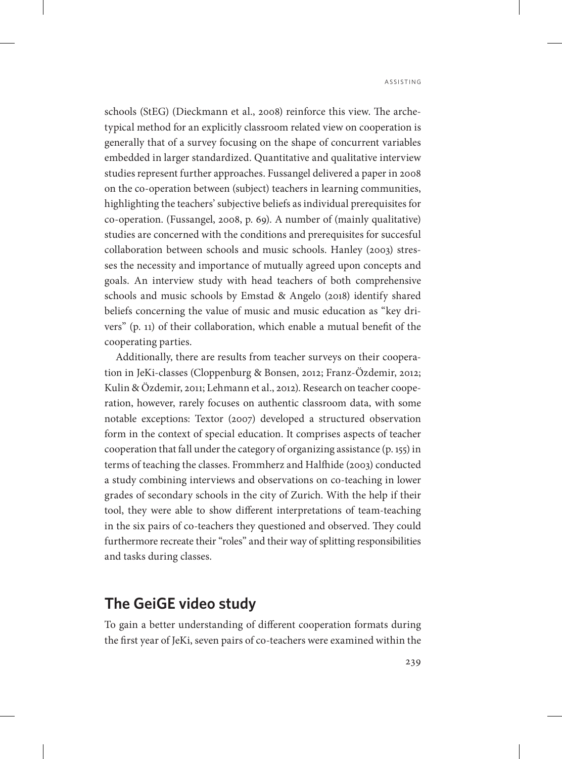schools (StEG) (Dieckmann et al., 2008) reinforce this view. The archetypical method for an explicitly classroom related view on cooperation is generally that of a survey focusing on the shape of concurrent variables embedded in larger standardized. Quantitative and qualitative interview studies represent further approaches. Fussangel delivered a paper in 2008 on the co-operation between (subject) teachers in learning communities, highlighting the teachers' subjective beliefs as individual prerequisites for co-operation. (Fussangel, 2008, p. 69). A number of (mainly qualitative) studies are concerned with the conditions and prerequisites for succesful collaboration between schools and music schools. Hanley (2003) stresses the necessity and importance of mutually agreed upon concepts and goals. An interview study with head teachers of both comprehensive schools and music schools by Emstad & Angelo (2018) identify shared beliefs concerning the value of music and music education as "key drivers" (p. 11) of their collaboration, which enable a mutual benefit of the cooperating parties.

Additionally, there are results from teacher surveys on their cooperation in JeKi-classes (Cloppenburg & Bonsen, 2012; Franz-Özdemir, 2012; Kulin & Özdemir, 2011; Lehmann et al., 2012). Research on teacher cooperation, however, rarely focuses on authentic classroom data, with some notable exceptions: Textor (2007) developed a structured observation form in the context of special education. It comprises aspects of teacher cooperation that fall under the category of organizing assistance (p. 155) in terms of teaching the classes. Frommherz and Halfhide (2003) conducted a study combining interviews and observations on co-teaching in lower grades of secondary schools in the city of Zurich. With the help if their tool, they were able to show different interpretations of team-teaching in the six pairs of co-teachers they questioned and observed. They could furthermore recreate their "roles" and their way of splitting responsibilities and tasks during classes.

## **The GeiGE video study**

To gain a better understanding of different cooperation formats during the first year of JeKi, seven pairs of co-teachers were examined within the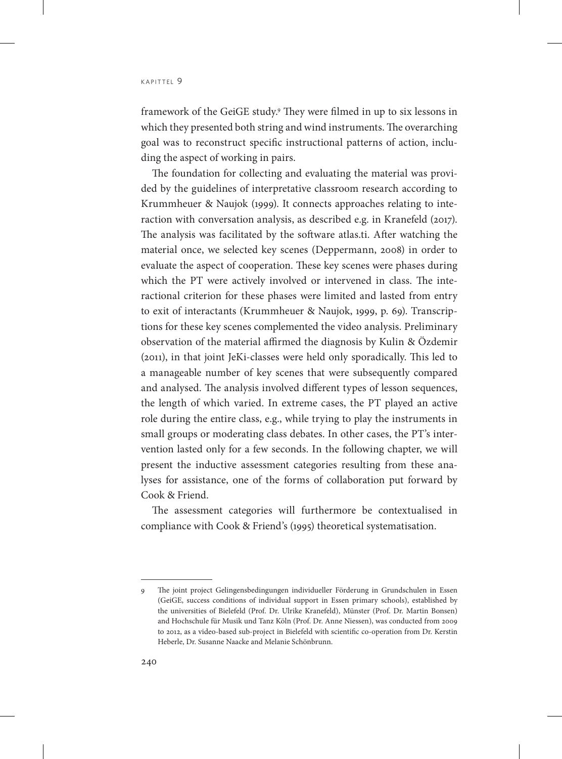framework of the GeiGE study.9 They were filmed in up to six lessons in which they presented both string and wind instruments. The overarching goal was to reconstruct specific instructional patterns of action, including the aspect of working in pairs.

The foundation for collecting and evaluating the material was provided by the guidelines of interpretative classroom research according to Krummheuer & Naujok (1999). It connects approaches relating to interaction with conversation analysis, as described e.g. in Kranefeld (2017). The analysis was facilitated by the software atlas.ti. After watching the material once, we selected key scenes (Deppermann, 2008) in order to evaluate the aspect of cooperation. These key scenes were phases during which the PT were actively involved or intervened in class. The interactional criterion for these phases were limited and lasted from entry to exit of interactants (Krummheuer & Naujok, 1999, p. 69). Transcriptions for these key scenes complemented the video analysis. Preliminary observation of the material affirmed the diagnosis by Kulin & Özdemir (2011), in that joint JeKi-classes were held only sporadically. This led to a manageable number of key scenes that were subsequently compared and analysed. The analysis involved different types of lesson sequences, the length of which varied. In extreme cases, the PT played an active role during the entire class, e.g., while trying to play the instruments in small groups or moderating class debates. In other cases, the PT's intervention lasted only for a few seconds. In the following chapter, we will present the inductive assessment categories resulting from these analyses for assistance, one of the forms of collaboration put forward by Cook & Friend.

The assessment categories will furthermore be contextualised in compliance with Cook & Friend's (1995) theoretical systematisation.

<sup>9</sup> The joint project Gelingensbedingungen individueller Förderung in Grundschulen in Essen (GeiGE, success conditions of individual support in Essen primary schools), established by the universities of Bielefeld (Prof. Dr. Ulrike Kranefeld), Münster (Prof. Dr. Martin Bonsen) and Hochschule für Musik und Tanz Köln (Prof. Dr. Anne Niessen), was conducted from 2009 to 2012, as a video-based sub-project in Bielefeld with scientific co-operation from Dr. Kerstin Heberle, Dr. Susanne Naacke and Melanie Schönbrunn.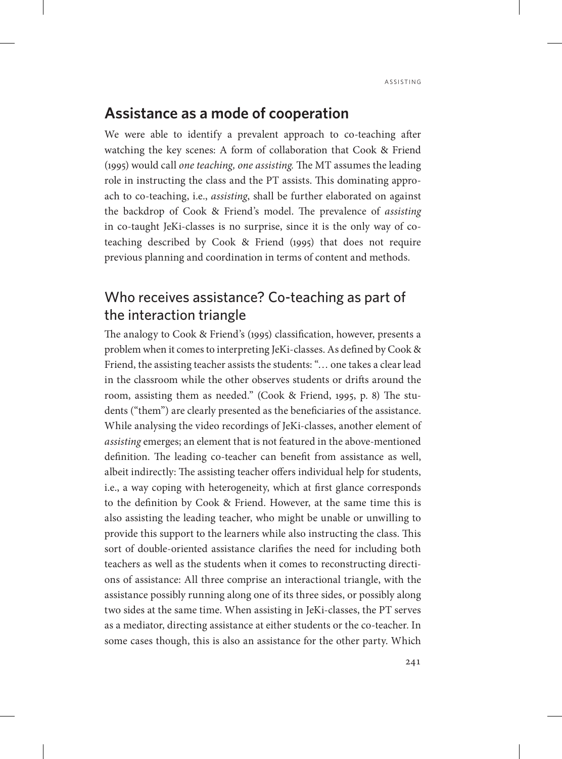## **Assistance as a mode of cooperation**

We were able to identify a prevalent approach to co-teaching after watching the key scenes: A form of collaboration that Cook & Friend (1995) would call *one teaching, one assisting.* The MT assumes the leading role in instructing the class and the PT assists. This dominating approach to co-teaching, i.e., *assisting*, shall be further elaborated on against the backdrop of Cook & Friend's model. The prevalence of *assisting* in co-taught JeKi-classes is no surprise, since it is the only way of coteaching described by Cook & Friend (1995) that does not require previous planning and coordination in terms of content and methods.

## Who receives assistance? Co-teaching as part of the interaction triangle

The analogy to Cook & Friend's (1995) classification, however, presents a problem when it comes to interpreting JeKi-classes. As defined by Cook & Friend, the assisting teacher assists the students: "… one takes a clear lead in the classroom while the other observes students or drifts around the room, assisting them as needed." (Cook & Friend, 1995, p. 8) The students ("them") are clearly presented as the beneficiaries of the assistance. While analysing the video recordings of JeKi-classes, another element of *assisting* emerges; an element that is not featured in the above-mentioned definition. The leading co-teacher can benefit from assistance as well, albeit indirectly: The assisting teacher offers individual help for students, i.e., a way coping with heterogeneity, which at first glance corresponds to the definition by Cook & Friend. However, at the same time this is also assisting the leading teacher, who might be unable or unwilling to provide this support to the learners while also instructing the class. This sort of double-oriented assistance clarifies the need for including both teachers as well as the students when it comes to reconstructing directions of assistance: All three comprise an interactional triangle, with the assistance possibly running along one of its three sides, or possibly along two sides at the same time. When assisting in JeKi-classes, the PT serves as a mediator, directing assistance at either students or the co-teacher. In some cases though, this is also an assistance for the other party. Which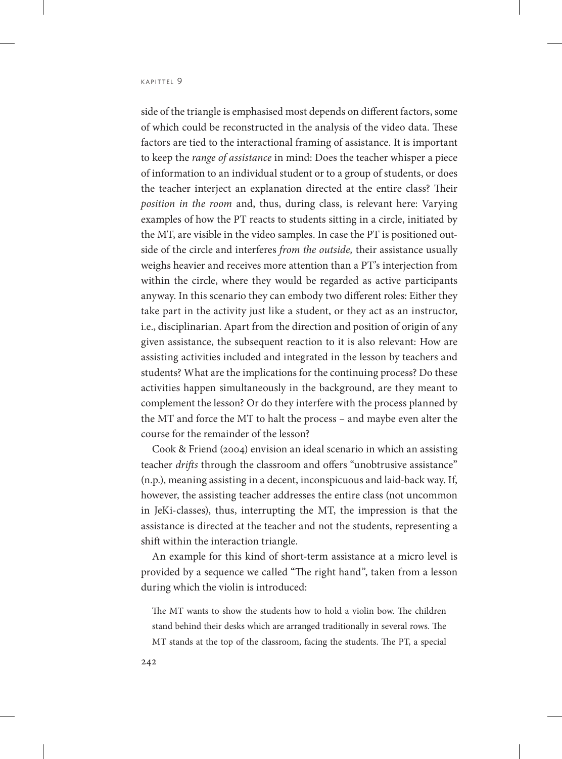side of the triangle is emphasised most depends on different factors, some of which could be reconstructed in the analysis of the video data. These factors are tied to the interactional framing of assistance. It is important to keep the *range of assistance* in mind: Does the teacher whisper a piece of information to an individual student or to a group of students, or does the teacher interject an explanation directed at the entire class? Their *position in the room* and, thus, during class, is relevant here: Varying examples of how the PT reacts to students sitting in a circle, initiated by the MT, are visible in the video samples. In case the PT is positioned outside of the circle and interferes *from the outside,* their assistance usually weighs heavier and receives more attention than a PT's interjection from within the circle, where they would be regarded as active participants anyway. In this scenario they can embody two different roles: Either they take part in the activity just like a student, or they act as an instructor, i.e., disciplinarian. Apart from the direction and position of origin of any given assistance, the subsequent reaction to it is also relevant: How are assisting activities included and integrated in the lesson by teachers and students? What are the implications for the continuing process? Do these activities happen simultaneously in the background, are they meant to complement the lesson? Or do they interfere with the process planned by the MT and force the MT to halt the process – and maybe even alter the course for the remainder of the lesson?

Cook & Friend (2004) envision an ideal scenario in which an assisting teacher *drifts* through the classroom and offers "unobtrusive assistance" (n.p.), meaning assisting in a decent, inconspicuous and laid-back way. If, however, the assisting teacher addresses the entire class (not uncommon in JeKi-classes), thus, interrupting the MT, the impression is that the assistance is directed at the teacher and not the students, representing a shift within the interaction triangle.

An example for this kind of short-term assistance at a micro level is provided by a sequence we called "The right hand", taken from a lesson during which the violin is introduced:

The MT wants to show the students how to hold a violin bow. The children stand behind their desks which are arranged traditionally in several rows. The MT stands at the top of the classroom, facing the students. The PT, a special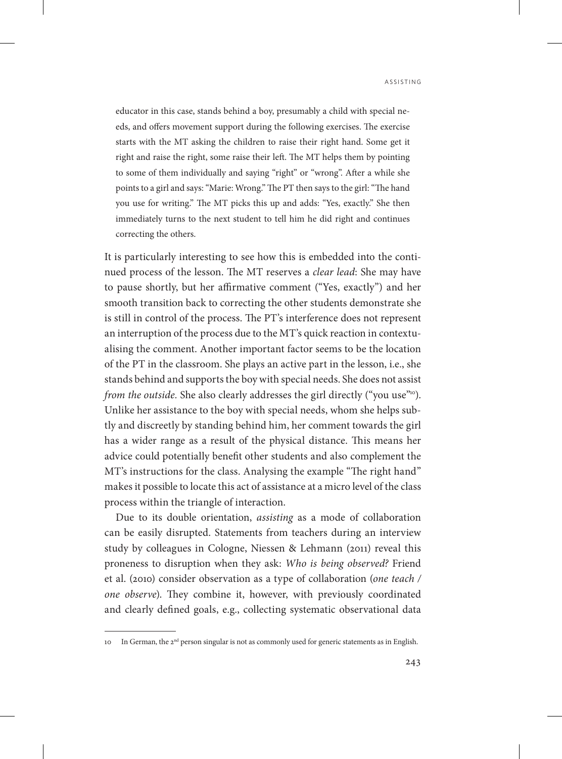educator in this case, stands behind a boy, presumably a child with special needs, and offers movement support during the following exercises. The exercise starts with the MT asking the children to raise their right hand. Some get it right and raise the right, some raise their left. The MT helps them by pointing to some of them individually and saying "right" or "wrong". After a while she points to a girl and says: "Marie: Wrong." The PT then says to the girl: "The hand you use for writing." The MT picks this up and adds: "Yes, exactly." She then immediately turns to the next student to tell him he did right and continues correcting the others.

It is particularly interesting to see how this is embedded into the continued process of the lesson. The MT reserves a *clear lead*: She may have to pause shortly, but her affirmative comment ("Yes, exactly") and her smooth transition back to correcting the other students demonstrate she is still in control of the process. The PT's interference does not represent an interruption of the process due to the MT's quick reaction in contextualising the comment. Another important factor seems to be the location of the PT in the classroom. She plays an active part in the lesson, i.e., she stands behind and supports the boy with special needs. She does not assist *from the outside.* She also clearly addresses the girl directly ("you use"<sup>10</sup>). Unlike her assistance to the boy with special needs, whom she helps subtly and discreetly by standing behind him, her comment towards the girl has a wider range as a result of the physical distance. This means her advice could potentially benefit other students and also complement the MT's instructions for the class. Analysing the example "The right hand" makes it possible to locate this act of assistance at a micro level of the class process within the triangle of interaction.

Due to its double orientation, *assisting* as a mode of collaboration can be easily disrupted. Statements from teachers during an interview study by colleagues in Cologne, Niessen & Lehmann (2011) reveal this proneness to disruption when they ask: *Who is being observed?* Friend et al. (2010) consider observation as a type of collaboration (*one teach / one observe*). They combine it, however, with previously coordinated and clearly defined goals, e.g., collecting systematic observational data

<sup>10</sup> In German, the 2<sup>nd</sup> person singular is not as commonly used for generic statements as in English.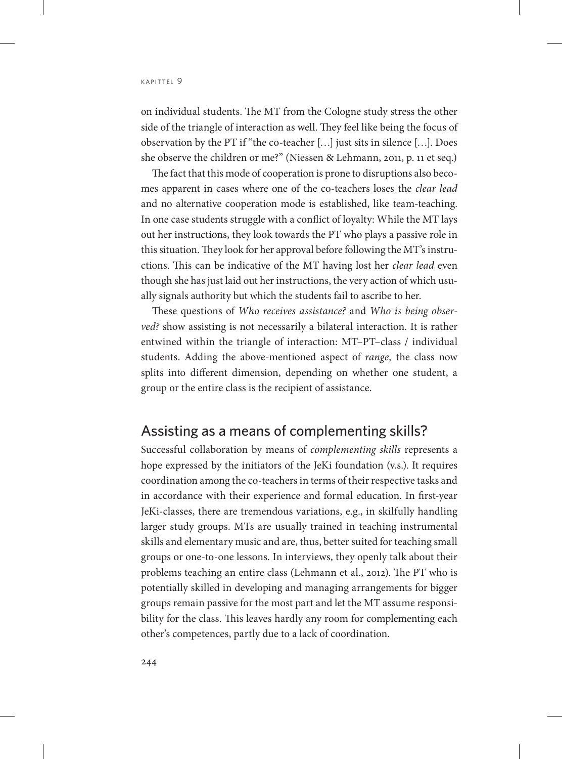on individual students. The MT from the Cologne study stress the other side of the triangle of interaction as well. They feel like being the focus of observation by the PT if "the co-teacher […] just sits in silence […]. Does she observe the children or me?" (Niessen & Lehmann, 2011, p. 11 et seq.)

The fact that this mode of cooperation is prone to disruptions also becomes apparent in cases where one of the co-teachers loses the *clear lead*  and no alternative cooperation mode is established, like team-teaching. In one case students struggle with a conflict of loyalty: While the MT lays out her instructions, they look towards the PT who plays a passive role in this situation. They look for her approval before following the MT's instructions. This can be indicative of the MT having lost her *clear lead* even though she has just laid out her instructions, the very action of which usually signals authority but which the students fail to ascribe to her.

These questions of *Who receives assistance?* and *Who is being observed?* show assisting is not necessarily a bilateral interaction. It is rather entwined within the triangle of interaction: MT–PT–class / individual students. Adding the above-mentioned aspect of *range,* the class now splits into different dimension, depending on whether one student, a group or the entire class is the recipient of assistance.

#### Assisting as a means of complementing skills?

Successful collaboration by means of *complementing skills* represents a hope expressed by the initiators of the JeKi foundation (v.s.). It requires coordination among the co-teachers in terms of their respective tasks and in accordance with their experience and formal education. In first-year JeKi-classes, there are tremendous variations, e.g., in skilfully handling larger study groups. MTs are usually trained in teaching instrumental skills and elementary music and are, thus, better suited for teaching small groups or one-to-one lessons. In interviews, they openly talk about their problems teaching an entire class (Lehmann et al., 2012). The PT who is potentially skilled in developing and managing arrangements for bigger groups remain passive for the most part and let the MT assume responsibility for the class. This leaves hardly any room for complementing each other's competences, partly due to a lack of coordination.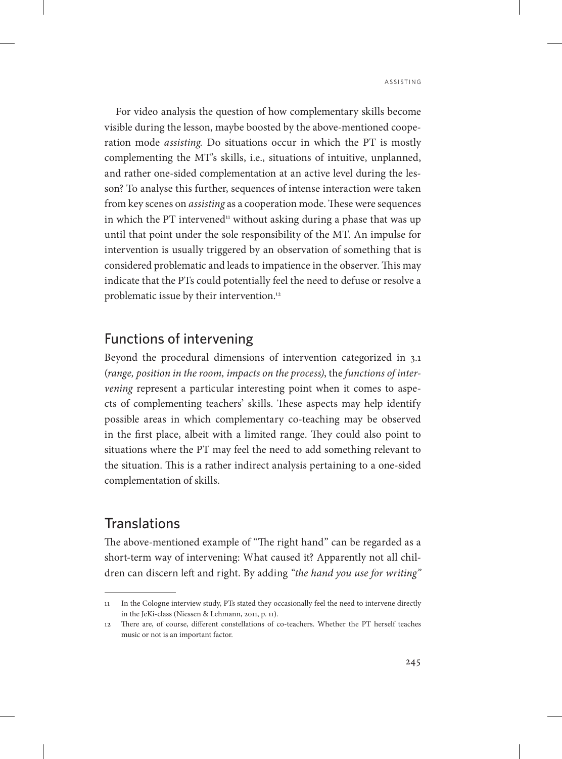For video analysis the question of how complementary skills become visible during the lesson, maybe boosted by the above-mentioned cooperation mode *assisting.* Do situations occur in which the PT is mostly complementing the MT's skills, i.e., situations of intuitive, unplanned, and rather one-sided complementation at an active level during the lesson? To analyse this further, sequences of intense interaction were taken from key scenes on *assisting* as a cooperation mode. These were sequences in which the PT intervened<sup>11</sup> without asking during a phase that was up until that point under the sole responsibility of the MT. An impulse for intervention is usually triggered by an observation of something that is considered problematic and leads to impatience in the observer. This may indicate that the PTs could potentially feel the need to defuse or resolve a problematic issue by their intervention.<sup>12</sup>

## Functions of intervening

Beyond the procedural dimensions of intervention categorized in 3.1 (*range, position in the room, impacts on the process)*, the *functions of intervening* represent a particular interesting point when it comes to aspects of complementing teachers' skills. These aspects may help identify possible areas in which complementary co-teaching may be observed in the first place, albeit with a limited range. They could also point to situations where the PT may feel the need to add something relevant to the situation. This is a rather indirect analysis pertaining to a one-sided complementation of skills.

## **Translations**

The above-mentioned example of "The right hand" can be regarded as a short-term way of intervening: What caused it? Apparently not all children can discern left and right. By adding *"the hand you use for writing"* 

<sup>11</sup> In the Cologne interview study, PTs stated they occasionally feel the need to intervene directly in the JeKi-class (Niessen & Lehmann, 2011, p. 11).

<sup>12</sup> There are, of course, different constellations of co-teachers. Whether the PT herself teaches music or not is an important factor.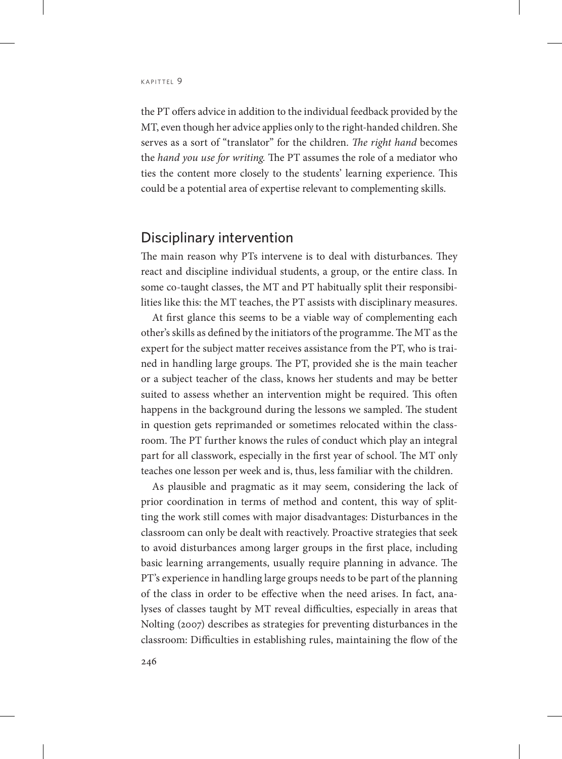the PT offers advice in addition to the individual feedback provided by the MT, even though her advice applies only to the right-handed children. She serves as a sort of "translator" for the children. *The right hand* becomes the *hand you use for writing.* The PT assumes the role of a mediator who ties the content more closely to the students' learning experience. This could be a potential area of expertise relevant to complementing skills.

#### Disciplinary intervention

The main reason why PTs intervene is to deal with disturbances. They react and discipline individual students, a group, or the entire class. In some co-taught classes, the MT and PT habitually split their responsibilities like this: the MT teaches, the PT assists with disciplinary measures.

At first glance this seems to be a viable way of complementing each other's skills as defined by the initiators of the programme. The MT as the expert for the subject matter receives assistance from the PT, who is trained in handling large groups. The PT, provided she is the main teacher or a subject teacher of the class, knows her students and may be better suited to assess whether an intervention might be required. This often happens in the background during the lessons we sampled. The student in question gets reprimanded or sometimes relocated within the classroom. The PT further knows the rules of conduct which play an integral part for all classwork, especially in the first year of school. The MT only teaches one lesson per week and is, thus, less familiar with the children.

As plausible and pragmatic as it may seem, considering the lack of prior coordination in terms of method and content, this way of splitting the work still comes with major disadvantages: Disturbances in the classroom can only be dealt with reactively. Proactive strategies that seek to avoid disturbances among larger groups in the first place, including basic learning arrangements, usually require planning in advance. The PT's experience in handling large groups needs to be part of the planning of the class in order to be effective when the need arises. In fact, analyses of classes taught by MT reveal difficulties, especially in areas that Nolting (2007) describes as strategies for preventing disturbances in the classroom: Difficulties in establishing rules, maintaining the flow of the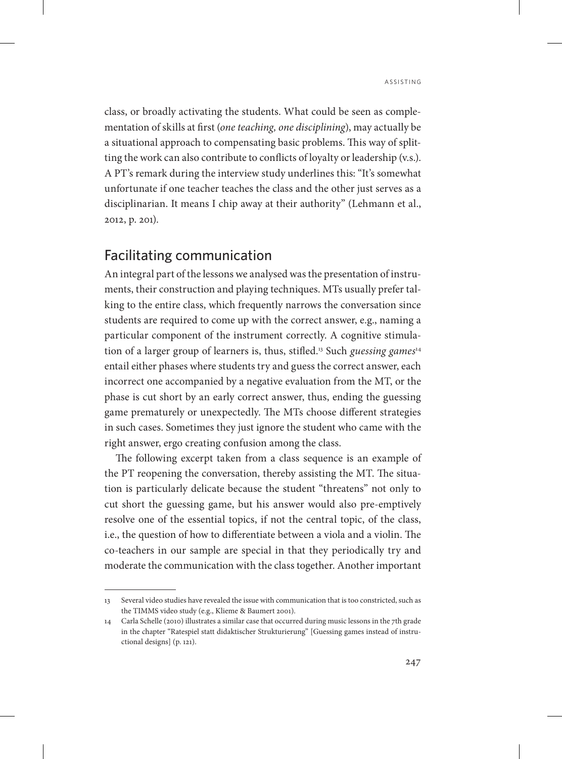class, or broadly activating the students. What could be seen as complementation of skills at first (*one teaching, one disciplining*), may actually be a situational approach to compensating basic problems. This way of splitting the work can also contribute to conflicts of loyalty or leadership (v.s.). A PT's remark during the interview study underlines this: "It's somewhat unfortunate if one teacher teaches the class and the other just serves as a disciplinarian. It means I chip away at their authority" (Lehmann et al., 2012, p. 201).

## Facilitating communication

An integral part of the lessons we analysed was the presentation of instruments, their construction and playing techniques. MTs usually prefer talking to the entire class, which frequently narrows the conversation since students are required to come up with the correct answer, e.g., naming a particular component of the instrument correctly. A cognitive stimulation of a larger group of learners is, thus, stifled.13 Such *guessing games*<sup>14</sup> entail either phases where students try and guess the correct answer, each incorrect one accompanied by a negative evaluation from the MT, or the phase is cut short by an early correct answer, thus, ending the guessing game prematurely or unexpectedly. The MTs choose different strategies in such cases. Sometimes they just ignore the student who came with the right answer, ergo creating confusion among the class.

The following excerpt taken from a class sequence is an example of the PT reopening the conversation, thereby assisting the MT. The situation is particularly delicate because the student "threatens" not only to cut short the guessing game, but his answer would also pre-emptively resolve one of the essential topics, if not the central topic, of the class, i.e., the question of how to differentiate between a viola and a violin. The co-teachers in our sample are special in that they periodically try and moderate the communication with the class together. Another important

<sup>13</sup> Several video studies have revealed the issue with communication that is too constricted, such as the TIMMS video study (e.g., Klieme & Baumert 2001).

<sup>14</sup> Carla Schelle (2010) illustrates a similar case that occurred during music lessons in the 7th grade in the chapter "Ratespiel statt didaktischer Strukturierung" [Guessing games instead of instructional designs] (p. 121).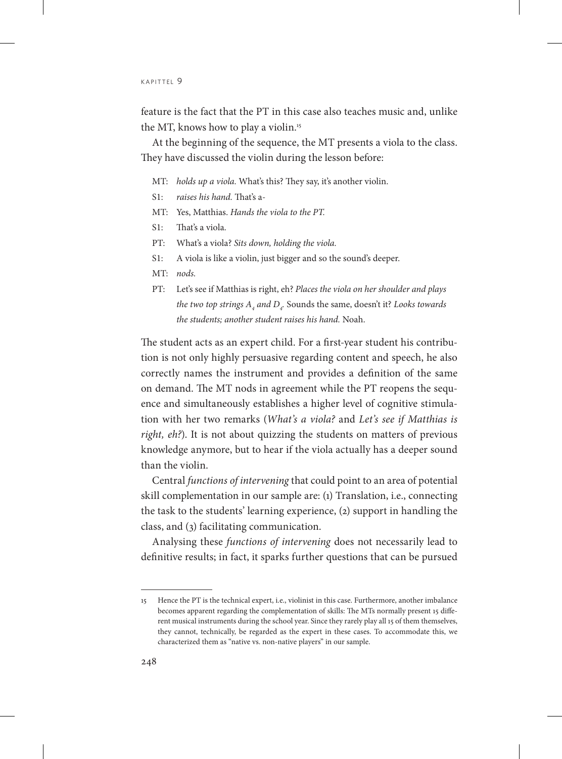feature is the fact that the PT in this case also teaches music and, unlike the MT, knows how to play a violin.<sup>15</sup>

At the beginning of the sequence, the MT presents a viola to the class. They have discussed the violin during the lesson before:

- MT: *holds up a viola.* What's this? They say, it's another violin.
- S1: *raises his hand.* That's a-
- MT: Yes, Matthias. *Hands the viola to the PT.*
- S1: That's a viola.
- PT: What's a viola? *Sits down, holding the viola.*
- S1: A viola is like a violin, just bigger and so the sound's deeper.
- MT: *nods.*
- PT: Let's see if Matthias is right, eh? *Places the viola on her shoulder and plays the two top strings*  $A_4$  *and*  $D_4$ *.* Sounds the same, doesn't it? *Looks towards the students; another student raises his hand.* Noah.

The student acts as an expert child. For a first-year student his contribution is not only highly persuasive regarding content and speech, he also correctly names the instrument and provides a definition of the same on demand. The MT nods in agreement while the PT reopens the sequence and simultaneously establishes a higher level of cognitive stimulation with her two remarks (*What's a viola?* and *Let's see if Matthias is right, eh?*). It is not about quizzing the students on matters of previous knowledge anymore, but to hear if the viola actually has a deeper sound than the violin.

Central *functions of intervening* that could point to an area of potential skill complementation in our sample are: (1) Translation, i.e., connecting the task to the students' learning experience, (2) support in handling the class, and (3) facilitating communication.

Analysing these *functions of intervening* does not necessarily lead to definitive results; in fact, it sparks further questions that can be pursued

<sup>15</sup> Hence the PT is the technical expert, i.e., violinist in this case. Furthermore, another imbalance becomes apparent regarding the complementation of skills: The MTs normally present 15 different musical instruments during the school year. Since they rarely play all 15 of them themselves, they cannot, technically, be regarded as the expert in these cases. To accommodate this, we characterized them as "native vs. non-native players" in our sample.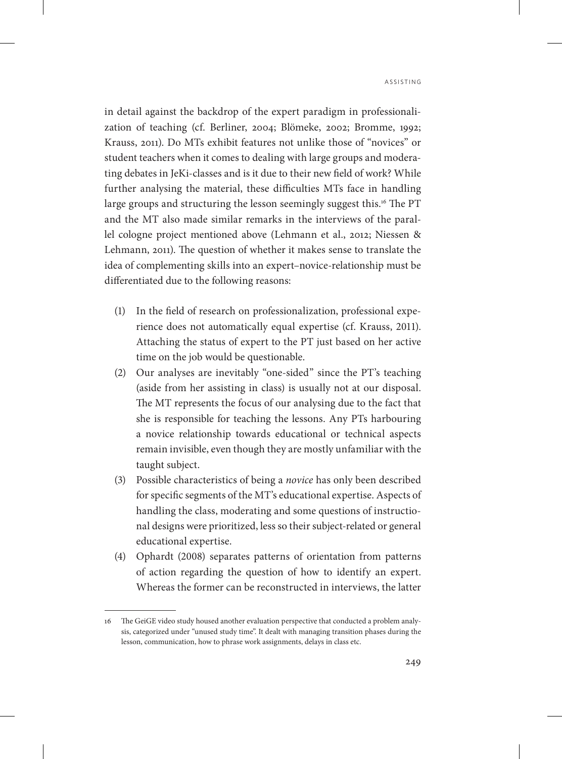in detail against the backdrop of the expert paradigm in professionalization of teaching (cf. Berliner, 2004; Blömeke, 2002; Bromme, 1992; Krauss, 2011). Do MTs exhibit features not unlike those of "novices" or student teachers when it comes to dealing with large groups and moderating debates in JeKi-classes and is it due to their new field of work? While further analysing the material, these difficulties MTs face in handling large groups and structuring the lesson seemingly suggest this.<sup>16</sup> The PT and the MT also made similar remarks in the interviews of the parallel cologne project mentioned above (Lehmann et al., 2012; Niessen & Lehmann, 2011). The question of whether it makes sense to translate the idea of complementing skills into an expert–novice-relationship must be differentiated due to the following reasons:

- (1) In the field of research on professionalization, professional experience does not automatically equal expertise (cf. Krauss, 2011). Attaching the status of expert to the PT just based on her active time on the job would be questionable.
- (2) Our analyses are inevitably "one-sided" since the PT's teaching (aside from her assisting in class) is usually not at our disposal. The MT represents the focus of our analysing due to the fact that she is responsible for teaching the lessons. Any PTs harbouring a novice relationship towards educational or technical aspects remain invisible, even though they are mostly unfamiliar with the taught subject.
- (3) Possible characteristics of being a *novice* has only been described for specific segments of the MT's educational expertise. Aspects of handling the class, moderating and some questions of instructional designs were prioritized, less so their subject-related or general educational expertise.
- (4) Ophardt (2008) separates patterns of orientation from patterns of action regarding the question of how to identify an expert. Whereas the former can be reconstructed in interviews, the latter

<sup>16</sup> The GeiGE video study housed another evaluation perspective that conducted a problem analysis, categorized under "unused study time". It dealt with managing transition phases during the lesson, communication, how to phrase work assignments, delays in class etc.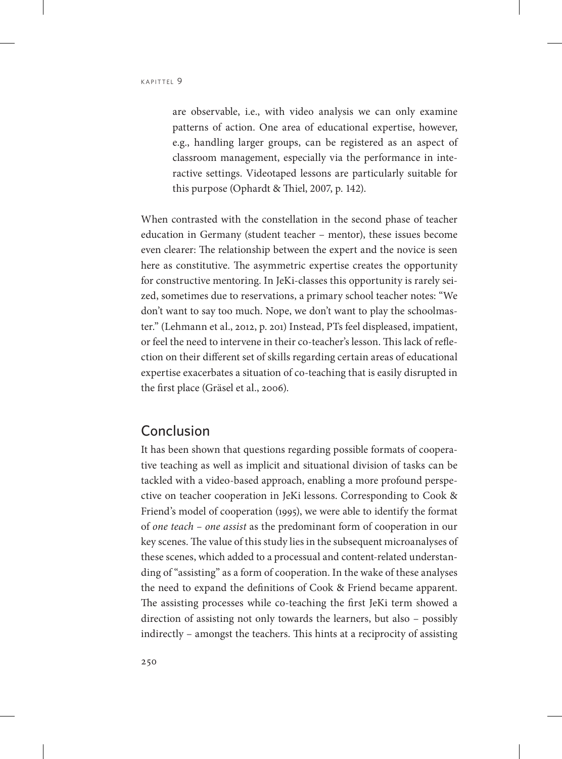are observable, i.e., with video analysis we can only examine patterns of action. One area of educational expertise, however, e.g., handling larger groups, can be registered as an aspect of classroom management, especially via the performance in interactive settings. Videotaped lessons are particularly suitable for this purpose (Ophardt & Thiel, 2007, p. 142).

When contrasted with the constellation in the second phase of teacher education in Germany (student teacher – mentor), these issues become even clearer: The relationship between the expert and the novice is seen here as constitutive. The asymmetric expertise creates the opportunity for constructive mentoring. In JeKi-classes this opportunity is rarely seized, sometimes due to reservations, a primary school teacher notes: "We don't want to say too much. Nope, we don't want to play the schoolmaster." (Lehmann et al., 2012, p. 201) Instead, PTs feel displeased, impatient, or feel the need to intervene in their co-teacher's lesson. This lack of reflection on their different set of skills regarding certain areas of educational expertise exacerbates a situation of co-teaching that is easily disrupted in the first place (Gräsel et al., 2006).

#### Conclusion

It has been shown that questions regarding possible formats of cooperative teaching as well as implicit and situational division of tasks can be tackled with a video-based approach, enabling a more profound perspective on teacher cooperation in JeKi lessons. Corresponding to Cook & Friend's model of cooperation (1995), we were able to identify the format of *one teach – one assist* as the predominant form of cooperation in our key scenes. The value of this study lies in the subsequent microanalyses of these scenes, which added to a processual and content-related understanding of "assisting" as a form of cooperation. In the wake of these analyses the need to expand the definitions of Cook & Friend became apparent. The assisting processes while co-teaching the first JeKi term showed a direction of assisting not only towards the learners, but also – possibly indirectly – amongst the teachers. This hints at a reciprocity of assisting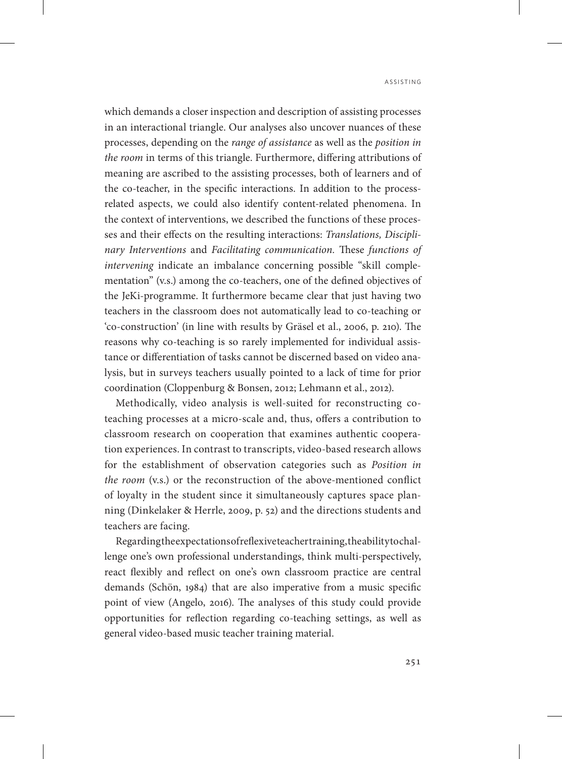which demands a closer inspection and description of assisting processes in an interactional triangle. Our analyses also uncover nuances of these processes, depending on the *range of assistance* as well as the *position in the room* in terms of this triangle. Furthermore, differing attributions of meaning are ascribed to the assisting processes, both of learners and of the co-teacher, in the specific interactions. In addition to the processrelated aspects, we could also identify content-related phenomena. In the context of interventions, we described the functions of these processes and their effects on the resulting interactions: *Translations, Disciplinary Interventions* and *Facilitating communication.* These *functions of intervening* indicate an imbalance concerning possible "skill complementation" (v.s.) among the co-teachers, one of the defined objectives of the JeKi-programme. It furthermore became clear that just having two teachers in the classroom does not automatically lead to co-teaching or 'co-construction' (in line with results by Gräsel et al., 2006, p. 210). The reasons why co-teaching is so rarely implemented for individual assistance or differentiation of tasks cannot be discerned based on video analysis, but in surveys teachers usually pointed to a lack of time for prior coordination (Cloppenburg & Bonsen, 2012; Lehmann et al., 2012).

Methodically, video analysis is well-suited for reconstructing coteaching processes at a micro-scale and, thus, offers a contribution to classroom research on cooperation that examines authentic cooperation experiences. In contrast to transcripts, video-based research allows for the establishment of observation categories such as *Position in the room* (v.s.) or the reconstruction of the above-mentioned conflict of loyalty in the student since it simultaneously captures space planning (Dinkelaker & Herrle, 2009, p. 52) and the directions students and teachers are facing.

Regarding the expectations of reflexive teacher training, the ability to challenge one's own professional understandings, think multi-perspectively, react flexibly and reflect on one's own classroom practice are central demands (Schön, 1984) that are also imperative from a music specific point of view (Angelo, 2016). The analyses of this study could provide opportunities for reflection regarding co-teaching settings, as well as general video-based music teacher training material.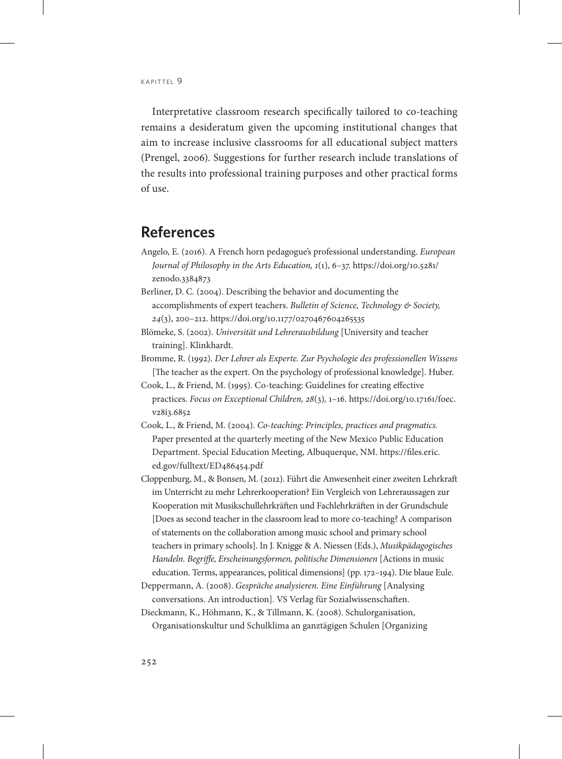Interpretative classroom research specifically tailored to co-teaching remains a desideratum given the upcoming institutional changes that aim to increase inclusive classrooms for all educational subject matters (Prengel, 2006). Suggestions for further research include translations of the results into professional training purposes and other practical forms of use.

## **References**

- Angelo, E. (2016). A French horn pedagogue's professional understanding. *European Journal of Philosophy in the Arts Education, 1*(1), 6–37. [https://doi.org/10.5281/](https://doi.org/10.5281/zenodo.3384873) [zenodo.3384873](https://doi.org/10.5281/zenodo.3384873)
- Berliner, D. C. (2004). Describing the behavior and documenting the accomplishments of expert teachers. *Bulletin of Science, Technology & Society, 24*(3), 200–212. https://doi.org/10.1177/0270467604265535
- Blömeke, S. (2002). *Universität und Lehrerausbildung* [University and teacher training]. Klinkhardt.
- Bromme, R. (1992). *Der Lehrer als Experte. Zur Psychologie des professionellen Wissens*  [The teacher as the expert. On the psychology of professional knowledge]. Huber.
- Cook, L., & Friend, M. (1995). Co-teaching: Guidelines for creating effective practices. *Focus on Exceptional Children, 28*(3)*,* 1–16. [https://doi.org/10.17161/foec.](https://doi.org/10.17161/foec.v28i3.6852) [v28i3.6852](https://doi.org/10.17161/foec.v28i3.6852)
- Cook, L., & Friend, M. (2004). *Co-teaching: Principles, practices and pragmatics.* Paper presented at the quarterly meeting of the New Mexico Public Education Department. Special Education Meeting, Albuquerque, NM. [https://files.eric.](https://files.eric.ed.gov/fulltext/ED486454.pdf) [ed.gov/fulltext/ED486454.pdf](https://files.eric.ed.gov/fulltext/ED486454.pdf)
- Cloppenburg, M., & Bonsen, M. (2012). Führt die Anwesenheit einer zweiten Lehrkraft im Unterricht zu mehr Lehrerkooperation? Ein Vergleich von Lehreraussagen zur Kooperation mit Musikschullehrkräften und Fachlehrkräften in der Grundschule [Does as second teacher in the classroom lead to more co-teaching? A comparison of statements on the collaboration among music school and primary school teachers in primary schools]. In J. Knigge & A. Niessen (Eds.), *Musikpädagogisches Handeln. Begriffe, Erscheinungsformen, politische Dimensionen* [Actions in music education. Terms, appearances, political dimensions] (pp. 172–194). Die blaue Eule.
- Deppermann, A. (2008). *Gespräche analysieren. Eine Einführung* [Analysing conversations. An introduction]. VS Verlag für Sozialwissenschaften.
- Dieckmann, K., Höhmann, K., & Tillmann, K. (2008). Schulorganisation, Organisationskultur und Schulklima an ganztägigen Schulen [Organizing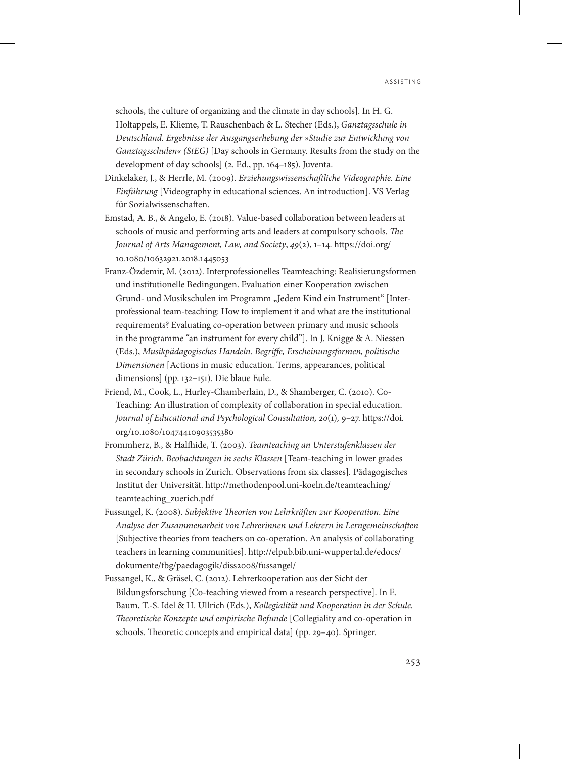schools, the culture of organizing and the climate in day schools]. In H. G. Holtappels, E. Klieme, T. Rauschenbach & L. Stecher (Eds.), *Ganztagsschule in Deutschland. Ergebnisse der Ausgangserhebung der »Studie zur Entwicklung von Ganztagsschulen« (StEG)* [Day schools in Germany. Results from the study on the development of day schools] (2. Ed., pp. 164–185). Juventa.

- Dinkelaker, J., & Herrle, M. (2009). *Erziehungswissenschaftliche Videographie. Eine Einführung* [Videography in educational sciences. An introduction]. VS Verlag für Sozialwissenschaften.
- Emstad, A. B., & Angelo, E. (2018). Value-based collaboration between leaders at schools of music and performing arts and leaders at compulsory schools. *The Journal of Arts Management, Law, and Society*, *49*(2), 1–14. [https://doi.org/](https://doi.org/10.1080/10632921.2018.1445053) [10.1080/10632921.2018.1445053](https://doi.org/10.1080/10632921.2018.1445053)
- Franz-Özdemir, M. (2012). Interprofessionelles Teamteaching: Realisierungsformen und institutionelle Bedingungen. Evaluation einer Kooperation zwischen Grund- und Musikschulen im Programm "Jedem Kind ein Instrument" [Interprofessional team-teaching: How to implement it and what are the institutional requirements? Evaluating co-operation between primary and music schools in the programme "an instrument for every child"]. In J. Knigge & A. Niessen (Eds.), *Musikpädagogisches Handeln. Begriffe, Erscheinungsformen, politische Dimensionen* [Actions in music education. Terms, appearances, political dimensions] (pp. 132–151). Die blaue Eule.
- Friend, M., Cook, L., Hurley-Chamberlain, D., & Shamberger, C. (2010). Co-Teaching: An illustration of complexity of collaboration in special education. *Journal of Educational and Psychological Consultation, 20*(1)*,* 9–27. [https://doi.](https://doi.org/10.1080/10474410903535380) [org/10.1080/10474410903535380](https://doi.org/10.1080/10474410903535380)
- Frommherz, B., & Halfhide, T. (2003). *Teamteaching an Unterstufenklassen der Stadt Zürich. Beobachtungen in sechs Klassen* [Team-teaching in lower grades in secondary schools in Zurich. Observations from six classes]*.* Pädagogisches Institut der Universität. [http://methodenpool.uni-koeln.de/teamteaching/](http://methodenpool.uni-koeln.de/teamteaching/teamteaching_zuerich.pdf) [teamteaching\\_zuerich.pdf](http://methodenpool.uni-koeln.de/teamteaching/teamteaching_zuerich.pdf)
- Fussangel, K. (2008). *Subjektive Theorien von Lehrkräften zur Kooperation. Eine Analyse der Zusammenarbeit von Lehrerinnen und Lehrern in Lerngemeinschaften* [Subjective theories from teachers on co-operation. An analysis of collaborating teachers in learning communities]. [http://elpub.bib.uni-wuppertal.de/edocs/](http://elpub.bib.uni-wuppertal.de/edocs/dokumente/fbg/paedagogik/diss2008/fussangel/) [dokumente/fbg/paedagogik/diss2008/fussangel/](http://elpub.bib.uni-wuppertal.de/edocs/dokumente/fbg/paedagogik/diss2008/fussangel/)
- Fussangel, K., & Gräsel, C. (2012). Lehrerkooperation aus der Sicht der Bildungsforschung [Co-teaching viewed from a research perspective]. In E. Baum, T.-S. Idel & H. Ullrich (Eds.), *Kollegialität und Kooperation in der Schule. Theoretische Konzepte und empirische Befunde* [Collegiality and co-operation in schools. Theoretic concepts and empirical data] (pp. 29–40). Springer.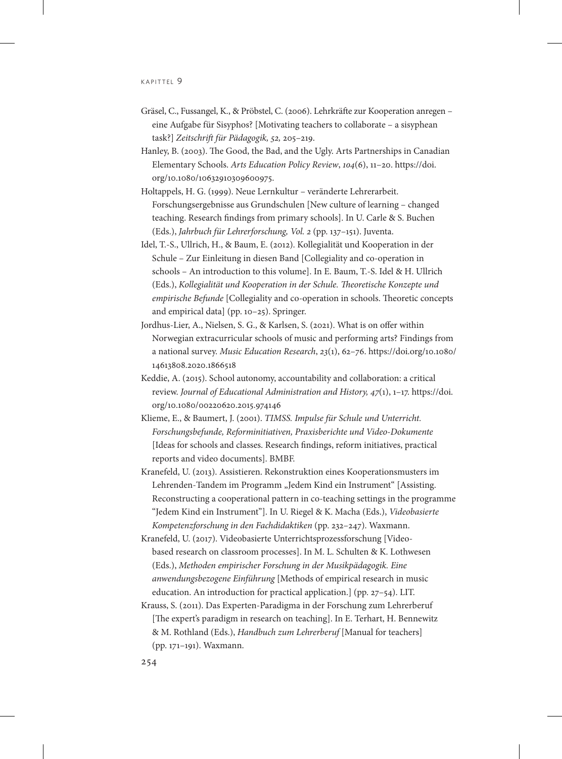- Gräsel, C., Fussangel, K., & Pröbstel, C. (2006). Lehrkräfte zur Kooperation anregen eine Aufgabe für Sisyphos? [Motivating teachers to collaborate – a sisyphean task?] *Zeitschrift für Pädagogik, 52,* 205–219.
- Hanley, B. (2003). The Good, the Bad, and the Ugly. Arts Partnerships in Canadian Elementary Schools. *Arts Education Policy Review*, *104*(6), 11–20. [https://doi.](https://doi.org/10.1080/10632910309600975) [org/10.1080/10632910309600975.](https://doi.org/10.1080/10632910309600975)
- Holtappels, H. G. (1999). Neue Lernkultur veränderte Lehrerarbeit. Forschungsergebnisse aus Grundschulen [New culture of learning – changed teaching. Research findings from primary schools]. In U. Carle & S. Buchen (Eds.), *Jahrbuch für Lehrerforschung, Vol. 2* (pp. 137–151). Juventa.
- Idel, T.-S., Ullrich, H., & Baum, E. (2012). Kollegialität und Kooperation in der Schule – Zur Einleitung in diesen Band [Collegiality and co-operation in schools – An introduction to this volume]. In E. Baum, T.-S. Idel & H. Ullrich (Eds.), *Kollegialität und Kooperation in der Schule. Theoretische Konzepte und empirische Befunde* [Collegiality and co-operation in schools. Theoretic concepts and empirical data] (pp. 10–25). Springer.
- Jordhus-Lier, A., Nielsen, S. G., & Karlsen, S. (2021). What is on offer within Norwegian extracurricular schools of music and performing arts? Findings from a national survey. *Music Education Research*, *23*(1), 62–76. [https://doi.org/10.1080/](https://doi.org/10.1080/14613808.2020.1866518) [14613808.2020.1866518](https://doi.org/10.1080/14613808.2020.1866518)
- Keddie, A. (2015). School autonomy, accountability and collaboration: a critical review. *Journal of Educational Administration and History, 47*(1), 1–17. [https://doi.](https://doi.org/10.1080/00220620.2015.974146) [org/10.1080/00220620.2015.974146](https://doi.org/10.1080/00220620.2015.974146)
- Klieme, E., & Baumert, J. (2001). *TIMSS. Impulse für Schule und Unterricht. Forschungsbefunde, Reforminitiativen, Praxisberichte und Video-Dokumente*  [Ideas for schools and classes. Research findings, reform initiatives, practical reports and video documents]. BMBF.
- Kranefeld, U. (2013). Assistieren. Rekonstruktion eines Kooperationsmusters im Lehrenden-Tandem im Programm "Jedem Kind ein Instrument" [Assisting. Reconstructing a cooperational pattern in co-teaching settings in the programme "Jedem Kind ein Instrument"]. In U. Riegel & K. Macha (Eds.), *Videobasierte Kompetenzforschung in den Fachdidaktiken* (pp. 232–247). Waxmann.
- Kranefeld, U. (2017). Videobasierte Unterrichtsprozessforschung [Videobased research on classroom processes]. In M. L. Schulten & K. Lothwesen (Eds.), *Methoden empirischer Forschung in der Musikpädagogik. Eine anwendungsbezogene Einführung* [Methods of empirical research in music education. An introduction for practical application.] (pp. 27–54). LIT.
- Krauss, S. (2011). Das Experten-Paradigma in der Forschung zum Lehrerberuf [The expert's paradigm in research on teaching]. In E. Terhart, H. Bennewitz & M. Rothland (Eds.), *Handbuch zum Lehrerberuf* [Manual for teachers] (pp. 171–191). Waxmann.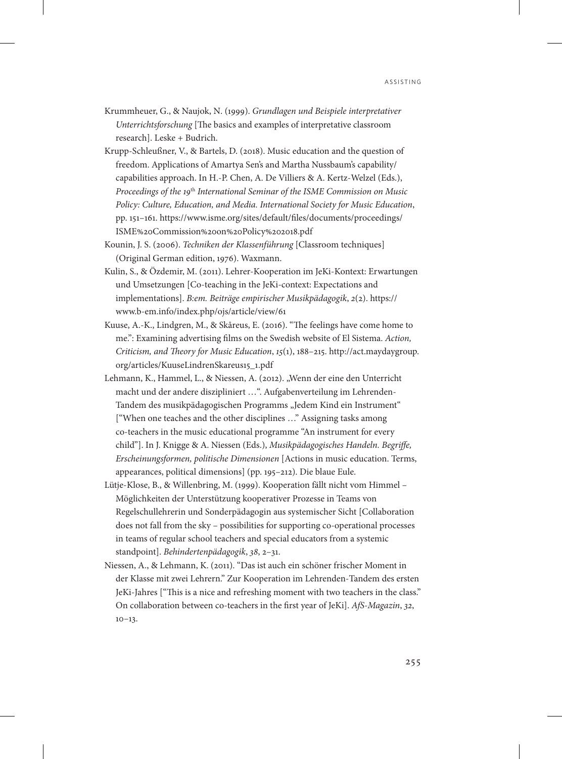- Krummheuer, G., & Naujok, N. (1999). *Grundlagen und Beispiele interpretativer Unterrichtsforschung* [The basics and examples of interpretative classroom research]. Leske + Budrich.
- Krupp-Schleußner, V., & Bartels, D. (2018). Music education and the question of freedom. Applications of Amartya Sen's and Martha Nussbaum's capability/ capabilities approach. In H.-P. Chen, A. De Villiers & A. Kertz-Welzel (Eds.), *Proceedings of the 19*th *International Seminar of the ISME Commission on Music Policy: Culture, Education, and Media. International Society for Music Education*, pp. 151–161. [https://www.isme.org/sites/default/files/documents/proceedings/](https://www.isme.org/sites/default/files/documents/proceedings/ISME%20Commission%20on%20Policy%202018.pdf) [ISME%20Commission%20on%20Policy%202018.pdf](https://www.isme.org/sites/default/files/documents/proceedings/ISME%20Commission%20on%20Policy%202018.pdf)
- Kounin, J. S. (2006). *Techniken der Klassenführung* [Classroom techniques] (Original German edition, 1976). Waxmann.
- Kulin, S., & Özdemir, M. (2011). Lehrer-Kooperation im JeKi-Kontext: Erwartungen und Umsetzungen [Co-teaching in the JeKi-context: Expectations and implementations]. *B:em. Beiträge empirischer Musikpädagogik*, *2*(2). https:// www.b-em.info/index.php/ojs/article/view/61
- Kuuse, A.-K., Lindgren, M., & Skåreus, E. (2016). "The feelings have come home to me.": Examining advertising films on the Swedish website of El Sistema. *Action, Criticism, and Theory for Music Education*, *15*(1), 188–215. [http://act.maydaygroup.](http://act.maydaygroup.org/articles/KuuseLindrenSkareus15_1.pdf) [org/articles/KuuseLindrenSkareus15\\_1.pdf](http://act.maydaygroup.org/articles/KuuseLindrenSkareus15_1.pdf)
- Lehmann, K., Hammel, L., & Niessen, A. (2012). "Wenn der eine den Unterricht macht und der andere diszipliniert …". Aufgabenverteilung im Lehrenden-Tandem des musikpädagogischen Programms "Jedem Kind ein Instrument" ["When one teaches and the other disciplines …" Assigning tasks among co-teachers in the music educational programme "An instrument for every child"]. In J. Knigge & A. Niessen (Eds.), *Musikpädagogisches Handeln. Begriffe, Erscheinungsformen, politische Dimensionen* [Actions in music education. Terms, appearances, political dimensions] (pp. 195–212). Die blaue Eule.
- Lütje-Klose, B., & Willenbring, M. (1999). Kooperation fällt nicht vom Himmel Möglichkeiten der Unterstützung kooperativer Prozesse in Teams von Regelschullehrerin und Sonderpädagogin aus systemischer Sicht [Collaboration does not fall from the sky – possibilities for supporting co-operational processes in teams of regular school teachers and special educators from a systemic standpoint]. *Behindertenpädagogik*, *38*, 2–31.
- Niessen, A., & Lehmann, K. (2011). "Das ist auch ein schöner frischer Moment in der Klasse mit zwei Lehrern." Zur Kooperation im Lehrenden-Tandem des ersten JeKi-Jahres ["This is a nice and refreshing moment with two teachers in the class." On collaboration between co-teachers in the first year of JeKi]. *AfS-Magazin*, *32*,  $10-13.$